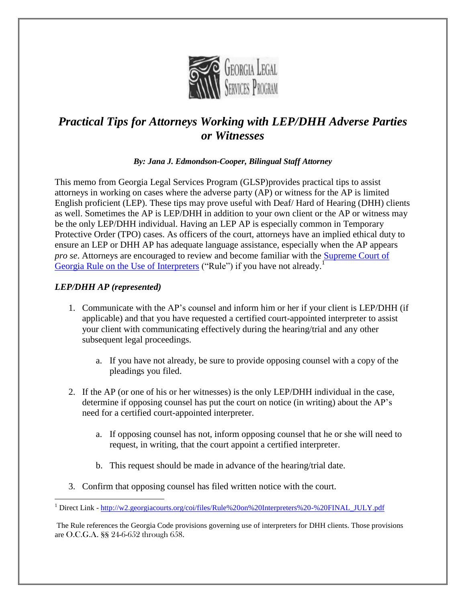

# *Practical Tips for Attorneys Working with LEP/DHH Adverse Parties or Witnesses*

#### *By: Jana J. Edmondson-Cooper, Bilingual Staff Attorney*

This memo from Georgia Legal Services Program (GLSP)provides practical tips to assist attorneys in working on cases where the adverse party (AP) or witness for the AP is limited English proficient (LEP). These tips may prove useful with Deaf/ Hard of Hearing (DHH) clients as well. Sometimes the AP is LEP/DHH in addition to your own client or the AP or witness may be the only LEP/DHH individual. Having an LEP AP is especially common in Temporary Protective Order (TPO) cases. As officers of the court, attorneys have an implied ethical duty to ensure an LEP or DHH AP has adequate language assistance, especially when the AP appears *pro se*. Attorneys are encouraged to review and become familiar with the [Supreme Court of](http://w2.georgiacourts.org/coi/files/Rule%20on%20Interpreters%20-%20FINAL_JULY.pdf)  [Georgia Rule on the Use of Interpreters](http://w2.georgiacourts.org/coi/files/Rule%20on%20Interpreters%20-%20FINAL_JULY.pdf) ("Rule") if you have not already.<sup>1</sup>

### *LEP/DHH AP (represented)*

- 1. Communicate with the AP's counsel and inform him or her if your client is LEP/DHH (if applicable) and that you have requested a certified court-appointed interpreter to assist your client with communicating effectively during the hearing/trial and any other subsequent legal proceedings.
	- a. If you have not already, be sure to provide opposing counsel with a copy of the pleadings you filed.
- 2. If the AP (or one of his or her witnesses) is the only LEP/DHH individual in the case, determine if opposing counsel has put the court on notice (in writing) about the AP's need for a certified court-appointed interpreter.
	- a. If opposing counsel has not, inform opposing counsel that he or she will need to request, in writing, that the court appoint a certified interpreter.
	- b. This request should be made in advance of the hearing/trial date.
- 3. Confirm that opposing counsel has filed written notice with the court.

 $\overline{a}$ <sup>1</sup> Direct Link - [http://w2.georgiacourts.org/coi/files/Rule%20on%20Interpreters%20-%20FINAL\\_JULY.pdf](http://w2.georgiacourts.org/coi/files/Rule%20on%20Interpreters%20-%20FINAL_JULY.pdf)

The Rule references the Georgia Code provisions governing use of interpreters for DHH clients. Those provisions are O.C.G.A. §§ 24-6-652 through 658.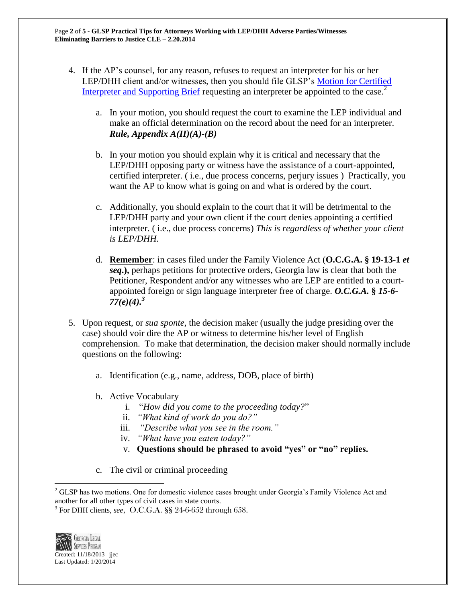- 4. If the AP's counsel, for any reason, refuses to request an interpreter for his or her LEP/DHH client and/or witnesses, then you should file GLSP's [Motion for Certified](http://www.georgiaadvocates.org/gojc/library/folder.478604-Pleadings)  [Interpreter and Supporting Brief](http://www.georgiaadvocates.org/gojc/library/folder.478604-Pleadings) requesting an interpreter be appointed to the case.<sup>2</sup>
	- a. In your motion, you should request the court to examine the LEP individual and make an official determination on the record about the need for an interpreter. *Rule, Appendix A(II)(A)-(B)*
	- b. In your motion you should explain why it is critical and necessary that the LEP/DHH opposing party or witness have the assistance of a court-appointed, certified interpreter. ( i.e., due process concerns, perjury issues ) Practically, you want the AP to know what is going on and what is ordered by the court.
	- c. Additionally, you should explain to the court that it will be detrimental to the LEP/DHH party and your own client if the court denies appointing a certified interpreter. ( i.e., due process concerns) *This is regardless of whether your client is LEP/DHH.*
	- d. **Remember**: in cases filed under the Family Violence Act (**O.C.G.A. § 19-13-1** *et seq***.),** perhaps petitions for protective orders, Georgia law is clear that both the Petitioner, Respondent and/or any witnesses who are LEP are entitled to a courtappointed foreign or sign language interpreter free of charge. *O.C.G.A.* **§** *15-6- 77(e)(4).<sup>3</sup>*
- 5. Upon request, or *sua sponte*, the decision maker (usually the judge presiding over the case) should voir dire the AP or witness to determine his/her level of English comprehension. To make that determination, the decision maker should normally include questions on the following:
	- a. Identification (e.g., name, address, DOB, place of birth)
	- b. Active Vocabulary
		- i. "*How did you come to the proceeding today?*"
		- ii. *"What kind of work do you do?"*
		- iii. *"Describe what you see in the room."*
		- iv. *"What have you eaten today?"*
		- v. **Questions should be phrased to avoid "yes" or "no" replies.**
	- c. The civil or criminal proceeding

<sup>3</sup> For DHH clients, *see*, O.C.G.A. §§ 24-6-652 through 658.



 $\overline{a}$ 

<sup>&</sup>lt;sup>2</sup> GLSP has two motions. One for domestic violence cases brought under Georgia's Family Violence Act and another for all other types of civil cases in state courts.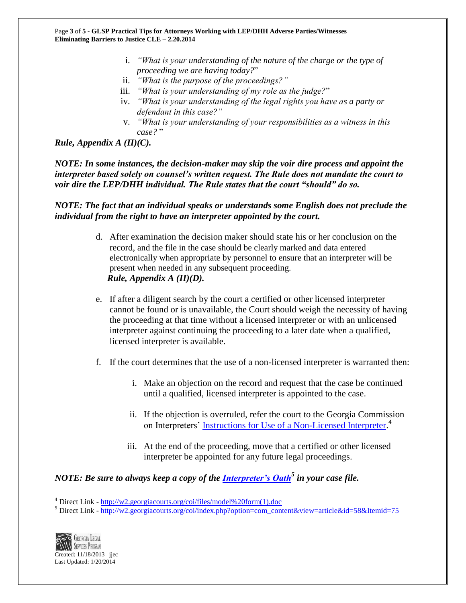- i. *"What is your understanding of the nature of the charge or the type of proceeding we are having today?*"
- ii. *"What is the purpose of the proceedings?"*
- iii. *"What is your understanding of my role as the judge?*"
- iv. *"What is your understanding of the legal rights you have as a party or defendant in this case?"*
- v. *"What is your understanding of your responsibilities as a witness in this case?* "

*Rule, Appendix A (II)(C).*

*NOTE: In some instances, the decision-maker may skip the voir dire process and appoint the interpreter based solely on counsel's written request. The Rule does not mandate the court to voir dire the LEP/DHH individual. The Rule states that the court "should" do so.*

#### *NOTE: The fact that an individual speaks or understands some English does not preclude the individual from the right to have an interpreter appointed by the court.*

- d. After examination the decision maker should state his or her conclusion on the record, and the file in the case should be clearly marked and data entered electronically when appropriate by personnel to ensure that an interpreter will be present when needed in any subsequent proceeding.  *Rule, Appendix A (II)(D).*
- e. If after a diligent search by the court a certified or other licensed interpreter cannot be found or is unavailable, the Court should weigh the necessity of having the proceeding at that time without a licensed interpreter or with an unlicensed interpreter against continuing the proceeding to a later date when a qualified, licensed interpreter is available.
- f. If the court determines that the use of a non-licensed interpreter is warranted then:
	- i. Make an objection on the record and request that the case be continued until a qualified, licensed interpreter is appointed to the case.
	- ii. If the objection is overruled, refer the court to the Georgia Commission on Interpreters' [Instructions for Use of a Non-Licensed Interpreter.](http://w2.georgiacourts.org/coi/files/model%20form(1).doc)<sup>4</sup>
	- iii. At the end of the proceeding, move that a certified or other licensed interpreter be appointed for any future legal proceedings.

## *NOTE: Be sure to always keep a copy of the [Interpreter's Oath](http://w2.georgiacourts.org/coi/index.php?option=com_content&view=article&id=58&Itemid=75)<sup>5</sup> in your case file.*

<sup>&</sup>lt;sup>5</sup> Direct Link - [http://w2.georgiacourts.org/coi/index.php?option=com\\_content&view=article&id=58&Itemid=75](http://w2.georgiacourts.org/coi/index.php?option=com_content&view=article&id=58&Itemid=75)



 $\overline{a}$ 

<sup>4</sup> Direct Link - [http://w2.georgiacourts.org/coi/files/model%20form\(1\).doc](http://w2.georgiacourts.org/coi/files/model%20form(1).doc)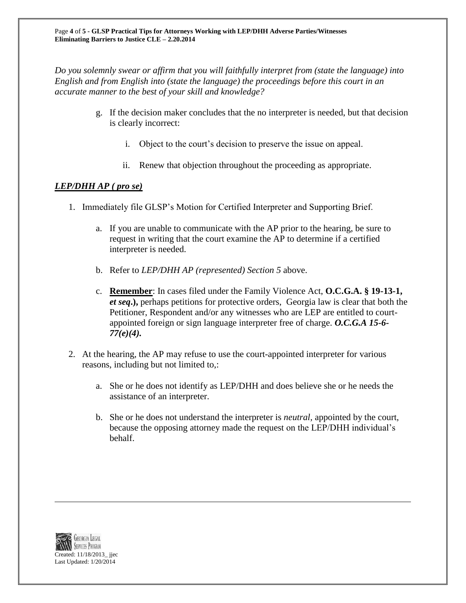*Do you solemnly swear or affirm that you will faithfully interpret from (state the language) into English and from English into (state the language) the proceedings before this court in an accurate manner to the best of your skill and knowledge?*

- g. If the decision maker concludes that the no interpreter is needed, but that decision is clearly incorrect:
	- i. Object to the court's decision to preserve the issue on appeal.
	- ii. Renew that objection throughout the proceeding as appropriate.

#### *LEP/DHH AP ( pro se)*

- 1. Immediately file GLSP's Motion for Certified Interpreter and Supporting Brief.
	- a. If you are unable to communicate with the AP prior to the hearing, be sure to request in writing that the court examine the AP to determine if a certified interpreter is needed.
	- b. Refer to *LEP/DHH AP (represented) Section 5* above.
	- c. **Remember**: In cases filed under the Family Violence Act, **O.C.G.A. § 19-13-1,**  *et seq***.),** perhaps petitions for protective orders, Georgia law is clear that both the Petitioner, Respondent and/or any witnesses who are LEP are entitled to courtappointed foreign or sign language interpreter free of charge. *O.C.G.A 15-6- 77(e)(4).*
- 2. At the hearing, the AP may refuse to use the court-appointed interpreter for various reasons, including but not limited to,:
	- a. She or he does not identify as LEP/DHH and does believe she or he needs the assistance of an interpreter.
	- b. She or he does not understand the interpreter is *neutral,* appointed by the court, because the opposing attorney made the request on the LEP/DHH individual's behalf.



 $\overline{a}$